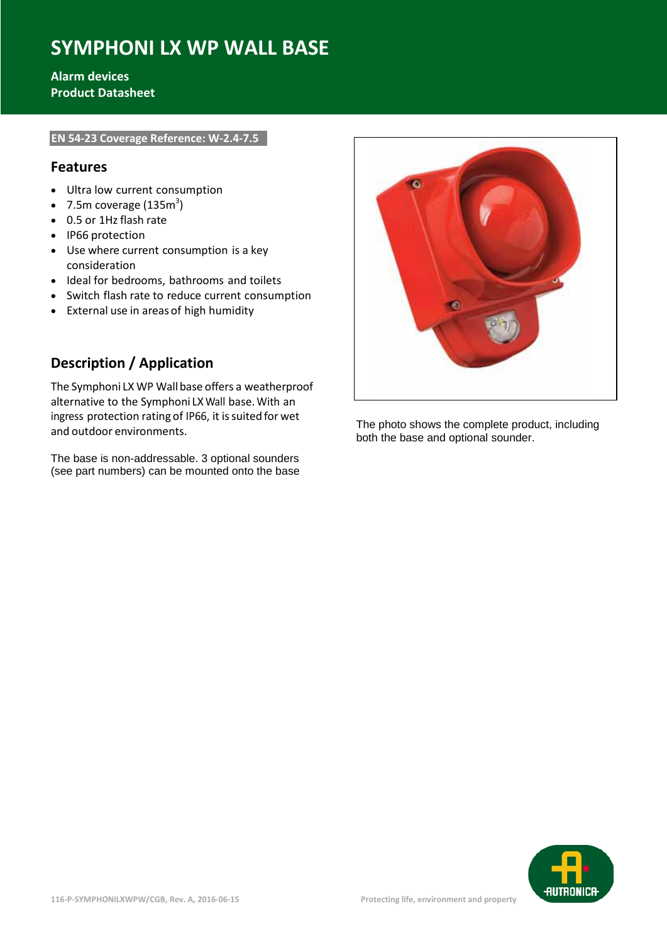# **SYMPHONI LX WP WALL BASE**

#### **Alarm devices Product Datasheet**

#### **EN 54-23 Coverage Reference: W-2.4-7.5**

#### **Features**

- Ultra low current consumption
- 7.5m coverage (135 $m<sup>3</sup>$ )
- 0.5 or 1Hz flash rate
- IP66 protection
- Use where current consumption is a key consideration
- Ideal for bedrooms, bathrooms and toilets
- Switch flash rate to reduce current consumption
- External use in areas of high humidity

### **Description / Application**

The Symphoni LX WP Wallbase offers a weatherproof alternative to the Symphoni LX Wall base.With an ingress protection rating of IP66, it is suited for wet and outdoor environments.

The base is non-addressable. 3 optional sounders (see part numbers) can be mounted onto the base



The photo shows the complete product, including both the base and optional sounder.